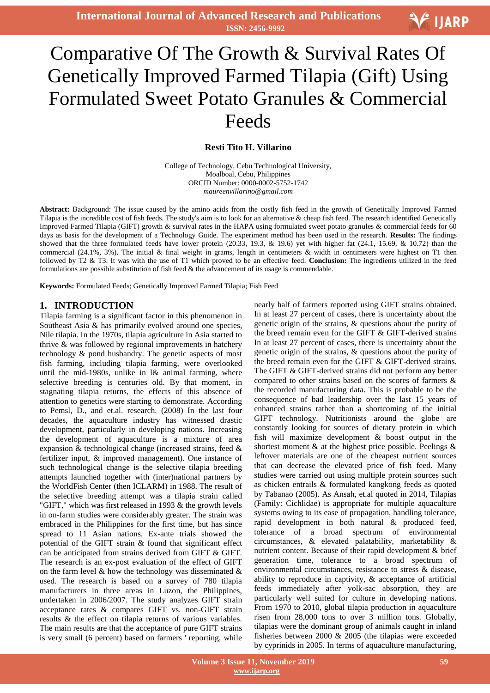# **V** IJARP

## Ξ Comparative Of The Growth & Survival Rates Of Genetically Improved Farmed Tilapia (Gift) Using Formulated Sweet Potato Granules & Commercial Feeds

#### **Resti Tito H. Villarino**

College of Technology, Cebu Technological University, Moalboal, Cebu, Philippines ORCID Number: 0000-0002-5752-1742 *maureenvillarino@gmail.com*

**Abstract:** Background: The issue caused by the amino acids from the costly fish feed in the growth of Genetically Improved Farmed Tilapia is the incredible cost of fish feeds. The study's aim is to look for an alternative & cheap fish feed. The research identified Genetically Improved Farmed Tilapia (GIFT) growth & survival rates in the HAPA using formulated sweet potato granules & commercial feeds for 60 days as basis for the development of a Technology Guide. The experiment method has been used in the research. **Results:** The findings showed that the three formulated feeds have lower protein  $(20.33, 19.3, \& 19.6)$  yet with higher fat  $(24.1, 15.69, \& 10.72)$  than the commercial (24.1%, 3%). The initial & final weight in grams, length in centimeters & width in centimeters were highest on T1 then followed by T2 & T3. It was with the use of T1 which proved to be an effective feed. **Conclusion:** The ingredients utilized in the feed formulations are possible substitution of fish feed & the advancement of its usage is commendable.

**Keywords:** Formulated Feeds; Genetically Improved Farmed Tilapia; Fish Feed

#### **1. INTRODUCTION**

Tilapia farming is a significant factor in this phenomenon in Southeast Asia & has primarily evolved around one species, Nile tilapia. In the 1970s, tilapia agriculture in Asia started to thrive & was followed by regional improvements in hatchery technology & pond husbandry. The genetic aspects of most fish farming, including tilapia farming, were overlooked until the mid-1980s, unlike in l& animal farming, where selective breeding is centuries old. By that moment, in stagnating tilapia returns, the effects of this absence of attention to genetics were starting to demonstrate. According to Pemsl, D., and et.al. research. (2008) In the last four decades, the aquaculture industry has witnessed drastic development, particularly in developing nations. Increasing the development of aquaculture is a mixture of area expansion & technological change (increased strains, feed & fertilizer input, & improved management). One instance of such technological change is the selective tilapia breeding attempts launched together with (inter)national partners by the WorldFish Center (then ICLARM) in 1988. The result of the selective breeding attempt was a tilapia strain called "GIFT," which was first released in 1993 & the growth levels in on-farm studies were considerably greater. The strain was embraced in the Philippines for the first time, but has since spread to 11 Asian nations. Ex-ante trials showed the potential of the GIFT strain & found that significant effect can be anticipated from strains derived from GIFT & GIFT. The research is an ex-post evaluation of the effect of GIFT on the farm level  $\&$  how the technology was disseminated  $\&$ used. The research is based on a survey of 780 tilapia manufacturers in three areas in Luzon, the Philippines, undertaken in 2006/2007. The study analyzes GIFT strain acceptance rates & compares GIFT vs. non-GIFT strain results & the effect on tilapia returns of various variables. The main results are that the acceptance of pure GIFT strains is very small (6 percent) based on farmers ' reporting, while

nearly half of farmers reported using GIFT strains obtained. In at least 27 percent of cases, there is uncertainty about the genetic origin of the strains, & questions about the purity of the breed remain even for the GIFT & GIFT-derived strains In at least 27 percent of cases, there is uncertainty about the genetic origin of the strains, & questions about the purity of the breed remain even for the GIFT & GIFT-derived strains. The GIFT & GIFT-derived strains did not perform any better compared to other strains based on the scores of farmers & the recorded manufacturing data. This is probable to be the consequence of bad leadership over the last 15 years of enhanced strains rather than a shortcoming of the initial GIFT technology. Nutritionists around the globe are constantly looking for sources of dietary protein in which fish will maximize development & boost output in the shortest moment & at the highest price possible. Peelings & leftover materials are one of the cheapest nutrient sources that can decrease the elevated price of fish feed. Many studies were carried out using multiple protein sources such as chicken entrails & formulated kangkong feeds as quoted by Tabanao (2005). As Ansah, et.al quoted in 2014, Tilapias (Family: Cichlidae) is appropriate for multiple aquaculture systems owing to its ease of propagation, handling tolerance, rapid development in both natural & produced feed, tolerance of a broad spectrum of environmental circumstances, & elevated palatability, marketability & nutrient content. Because of their rapid development & brief generation time, tolerance to a broad spectrum of environmental circumstances, resistance to stress & disease, ability to reproduce in captivity, & acceptance of artificial feeds immediately after yolk-sac absorption, they are particularly well suited for culture in developing nations. From 1970 to 2010, global tilapia production in aquaculture risen from 28,000 tons to over 3 million tons. Globally, tilapias were the dominant group of animals caught in inland fisheries between 2000 & 2005 (the tilapias were exceeded by cyprinids in 2005. In terms of aquaculture manufacturing,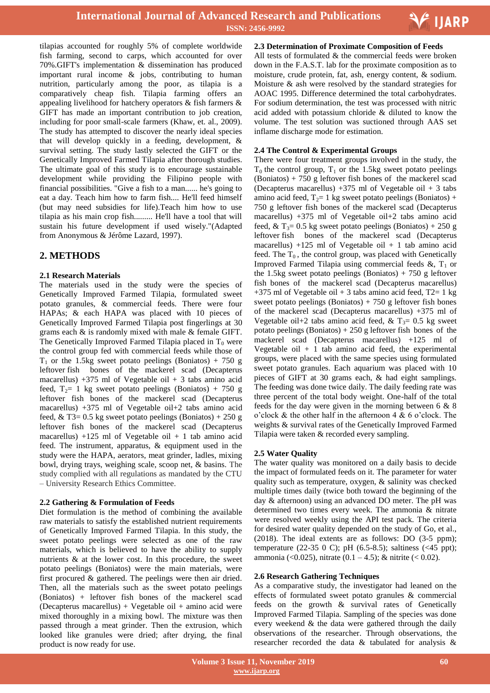

tilapias accounted for roughly 5% of complete worldwide fish farming, second to carps, which accounted for over 70%.GIFT's implementation & dissemination has produced important rural income & jobs, contributing to human nutrition, particularly among the poor, as tilapia is a comparatively cheap fish. Tilapia farming offers an appealing livelihood for hatchery operators & fish farmers & GIFT has made an important contribution to job creation, including for poor small-scale farmers (Khaw, et. al., 2009). The study has attempted to discover the nearly ideal species that will develop quickly in a feeding, development, & survival setting. The study lastly selected the GIFT or the Genetically Improved Farmed Tilapia after thorough studies. The ultimate goal of this study is to encourage sustainable development while providing the Filipino people with financial possibilities. "Give a fish to a man...... he's going to eat a day. Teach him how to farm fish.... He'll feed himself (but may need subsidies for life).Teach him how to use tilapia as his main crop fish......... He'll have a tool that will sustain his future development if used wisely."(Adapted from Anonymous & Jérôme Lazard, 1997).

## **2. METHODS**

#### **2.1 Research Materials**

The materials used in the study were the species of Genetically Improved Farmed Tilapia, formulated sweet potato granules, & commercial feeds. There were four HAPAs; & each HAPA was placed with 10 pieces of Genetically Improved Farmed Tilapia post fingerlings at 30 grams each & is randomly mixed with male & female GIFT. The Genetically Improved Farmed Tilapia placed in  $T_0$  were the control group fed with commercial feeds while those of  $T_1$  or the 1.5kg sweet potato peelings (Boniatos) + 750 g leftover fish bones of the mackerel scad (Decapterus macarellus)  $+375$  ml of Vegetable oil  $+3$  tabs amino acid feed,  $T_2$ = 1 kg sweet potato peelings (Boniatos) + 750 g leftover fish bones of the mackerel scad (Decapterus macarellus) +375 ml of Vegetable oil+2 tabs amino acid feed, & T3=  $0.5$  kg sweet potato peelings (Boniatos) + 250 g leftover fish bones of the mackerel scad (Decapterus macarellus)  $+125$  ml of Vegetable oil  $+1$  tab amino acid feed. The instrument, apparatus, & equipment used in the study were the HAPA, aerators, meat grinder, ladles, mixing bowl, drying trays, weighing scale, scoop net, & basins. The study complied with all regulations as mandated by the CTU – University Research Ethics Committee.

#### **2.2 Gathering & Formulation of Feeds**

Diet formulation is the method of combining the available raw materials to satisfy the established nutrient requirements of Genetically Improved Farmed Tilapia. In this study, the sweet potato peelings were selected as one of the raw materials, which is believed to have the ability to supply nutrients & at the lower cost. In this procedure, the sweet potato peelings (Boniatos) were the main materials, were first procured & gathered. The peelings were then air dried. Then, all the materials such as the sweet potato peelings (Boniatos) + leftover fish bones of the mackerel scad (Decapterus macarellus) + Vegetable oil + amino acid were mixed thoroughly in a mixing bowl. The mixture was then passed through a meat grinder. Then the extrusion, which looked like granules were dried; after drying, the final product is now ready for use.

**2.3 Determination of Proximate Composition of Feeds** 

All tests of formulated & the commercial feeds were broken down in the F.A.S.T. lab for the proximate composition as to moisture, crude protein, fat, ash, energy content, & sodium. Moisture & ash were resolved by the standard strategies for AOAC 1995. Difference determined the total carbohydrates. For sodium determination, the test was processed with nitric acid added with potassium chloride & diluted to know the volume. The test solution was suctioned through AAS set inflame discharge mode for estimation.

#### **2.4 The Control & Experimental Groups**

There were four treatment groups involved in the study, the  $T_0$  the control group,  $T_1$  or the 1.5kg sweet potato peelings  $(Boniatos) + 750$  g leftover fish bones of the mackerel scad (Decapterus macarellus)  $+375$  ml of Vegetable oil  $+3$  tabs amino acid feed,  $T_2=1$  kg sweet potato peelings (Boniatos) + 750 g leftover fish bones of the mackerel scad (Decapterus macarellus) +375 ml of Vegetable oil+2 tabs amino acid feed, &  $T_3 = 0.5$  kg sweet potato peelings (Boniatos) + 250 g leftover fish bones of the mackerel scad (Decapterus macarellus) +125 ml of Vegetable oil + 1 tab amino acid feed. The  $T_0$ , the control group, was placed with Genetically Improved Farmed Tilapia using commercial feeds  $\&$ , T<sub>1</sub> or the 1.5kg sweet potato peelings (Boniatos) + 750 g leftover fish bones of the mackerel scad (Decapterus macarellus)  $+375$  ml of Vegetable oil  $+3$  tabs amino acid feed, T2= 1 kg sweet potato peelings (Boniatos) + 750 g leftover fish bones of the mackerel scad (Decapterus macarellus) +375 ml of Vegetable oil+2 tabs amino acid feed, &  $T_3$ = 0.5 kg sweet potato peelings (Boniatos) + 250 g leftover fish bones of the mackerel scad (Decapterus macarellus) +125 ml of Vegetable oil  $+1$  tab amino acid feed, the experimental groups, were placed with the same species using formulated sweet potato granules. Each aquarium was placed with 10 pieces of GIFT at 30 grams each, & had eight samplings. The feeding was done twice daily. The daily feeding rate was three percent of the total body weight. One-half of the total feeds for the day were given in the morning between 6 & 8 o'clock & the other half in the afternoon 4 & 6 o'clock. The weights & survival rates of the Genetically Improved Farmed Tilapia were taken & recorded every sampling.

## **2.5 Water Quality**

The water quality was monitored on a daily basis to decide the impact of formulated feeds on it. The parameter for water quality such as temperature, oxygen, & salinity was checked multiple times daily (twice both toward the beginning of the day & afternoon) using an advanced DO meter. The pH was determined two times every week. The ammonia & nitrate were resolved weekly using the API test pack. The criteria for desired water quality depended on the study of Go, et al., (2018). The ideal extents are as follows: DO (3-5 ppm); temperature (22-35 0 C); pH (6.5-8.5); saltiness (<45 ppt); ammonia (<0.025), nitrate (0.1 – 4.5); & nitrite (< 0.02).

#### **2.6 Research Gathering Techniques**

As a comparative study, the investigator had leaned on the effects of formulated sweet potato granules & commercial feeds on the growth & survival rates of Genetically Improved Farmed Tilapia. Sampling of the species was done every weekend & the data were gathered through the daily observations of the researcher. Through observations, the researcher recorded the data & tabulated for analysis &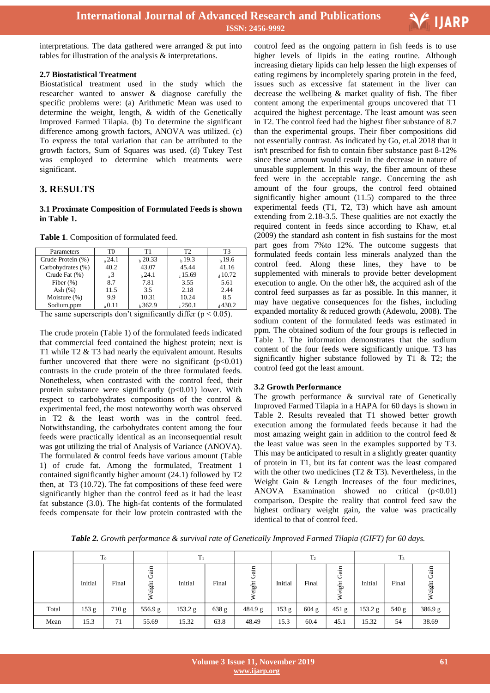

interpretations. The data gathered were arranged & put into tables for illustration of the analysis & interpretations.

#### **2.7 Biostatistical Treatment**

Biostatistical treatment used in the study which the researcher wanted to answer & diagnose carefully the specific problems were: (a) Arithmetic Mean was used to determine the weight, length, & width of the Genetically Improved Farmed Tilapia. (b) To determine the significant difference among growth factors, ANOVA was utilized. (c) To express the total variation that can be attributed to the growth factors, Sum of Squares was used. (d) Tukey Test was employed to determine which treatments were significant.

## **3. RESULTS**

#### **3.1 Proximate Composition of Formulated Feeds is shown in Table 1.**

**Table 1**. Composition of formulated feed.

| Parameters        | T0             | Τ1     | T <sub>2</sub> | T3        |
|-------------------|----------------|--------|----------------|-----------|
| Crude Protein (%) | 24.1           | h20.33 | h19.3          | $h\,19.6$ |
| Carbohydrates (%) | 40.2           | 43.07  | 45.44          | 41.16     |
| Crude Fat (%)     | $\overline{3}$ | h24.1  | $c$ 15.69      | 410.72    |
| Fiber $(\%)$      | 8.7            | 7.81   | 3.55           | 5.61      |
| Ash $(\%)$        | 11.5           | 3.5    | 2.18           | 2.44      |
| Moisture $(\%)$   | 9.9            | 10.31  | 10.24          | 8.5       |
| Sodium,ppm        | 0.11           | h362.9 | .250.1         | 430.2ء    |

The same superscripts don't significantly differ  $(p < 0.05)$ .

The crude protein (Table 1) of the formulated feeds indicated that commercial feed contained the highest protein; next is T1 while T2 & T3 had nearly the equivalent amount. Results further uncovered that there were no significant  $(p<0.01)$ contrasts in the crude protein of the three formulated feeds. Nonetheless, when contrasted with the control feed, their protein substance were significantly  $(p<0.01)$  lower. With respect to carbohydrates compositions of the control & experimental feed, the most noteworthy worth was observed in T2 & the least worth was in the control feed. Notwithstanding, the carbohydrates content among the four feeds were practically identical as an inconsequential result was got utilizing the trial of Analysis of Variance (ANOVA). The formulated & control feeds have various amount (Table 1) of crude fat. Among the formulated, Treatment 1 contained significantly higher amount (24.1) followed by T2 then, at T3 (10.72). The fat compositions of these feed were significantly higher than the control feed as it had the least fat substance (3.0). The high-fat contents of the formulated feeds compensate for their low protein contrasted with the

 control feed as the ongoing pattern in fish feeds is to use higher levels of lipids in the eating routine. Although increasing dietary lipids can help lessen the high expenses of eating regimens by incompletely sparing protein in the feed, issues such as excessive fat statement in the liver can decrease the wellbeing & market quality of fish. The fiber content among the experimental groups uncovered that T1 acquired the highest percentage. The least amount was seen in T2. The control feed had the highest fiber substance of 8.7 than the experimental groups. Their fiber compositions did not essentially contrast. As indicated by Go, et.al 2018 that it isn't prescribed for fish to contain fiber substance past 8-12% since these amount would result in the decrease in nature of unusable supplement. In this way, the fiber amount of these feed were in the acceptable range. Concerning the ash amount of the four groups, the control feed obtained significantly higher amount (11.5) compared to the three experimental feeds (T1, T2, T3) which have ash amount extending from 2.18-3.5. These qualities are not exactly the required content in feeds since according to Khaw, et.al (2009) the standard ash content in fish sustains for the most part goes from 7%to 12%. The outcome suggests that formulated feeds contain less minerals analyzed than the control feed. Along these lines, they have to be supplemented with minerals to provide better development execution to angle. On the other h&, the acquired ash of the control feed surpasses as far as possible. In this manner, it may have negative consequences for the fishes, including expanded mortality & reduced growth (Adewolu, 2008). The sodium content of the formulated feeds was estimated in ppm. The obtained sodium of the four groups is reflected in Table 1. The information demonstrates that the sodium content of the four feeds were significantly unique. T3 has significantly higher substance followed by T1 & T2; the control feed got the least amount.

## **3.2 Growth Performance**

The growth performance & survival rate of Genetically Improved Farmed Tilapia in a HAPA for 60 days is shown in Table 2. Results revealed that T1 showed better growth execution among the formulated feeds because it had the most amazing weight gain in addition to the control feed & the least value was seen in the examples supported by T3. This may be anticipated to result in a slightly greater quantity of protein in T1, but its fat content was the least compared with the other two medicines (T2 & T3). Nevertheless, in the Weight Gain & Length Increases of the four medicines, ANOVA Examination showed no critical  $(p<0.01)$ comparison. Despite the reality that control feed saw the highest ordinary weight gain, the value was practically identical to that of control feed.

*Table 2. Growth performance & survival rate of Genetically Improved Farmed Tilapia (GIFT) for 60 days.*

|       | $T_0$   |       |                | $T_1$   |       |                         | $\mathrm{T}_2$ |         | $T_3$              |         |       |                  |
|-------|---------|-------|----------------|---------|-------|-------------------------|----------------|---------|--------------------|---------|-------|------------------|
|       | Initial | Final | rain<br>Weight | Initial | Final | iain<br>◡<br>eight<br>∽ | Initial        | Final   | min<br>◡<br>Weight | Initial | Final | 湢<br>◡<br>Weight |
| Total | 153 g   | 710 g | 556.9 g        | 153.2 g | 638 g | 484.9 g                 | 153 g          | $604$ g | 451 g              | 153.2 g | 540 g | 386.9 g          |
| Mean  | 15.3    | 71    | 55.69          | 15.32   | 63.8  | 48.49                   | 15.3           | 60.4    | 45.1               | 15.32   | 54    | 38.69            |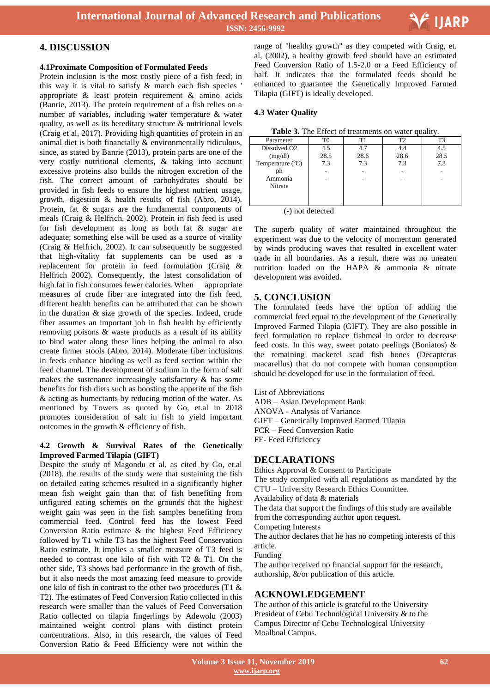

## **4. DISCUSSION**

#### **4.1Proximate Composition of Formulated Feeds**

Protein inclusion is the most costly piece of a fish feed; in this way it is vital to satisfy & match each fish species ' appropriate & least protein requirement & amino acids (Banrie, 2013). The protein requirement of a fish relies on a number of variables, including water temperature & water quality, as well as its hereditary structure & nutritional levels (Craig et al, 2017). Providing high quantities of protein in an animal diet is both financially & environmentally ridiculous, since, as stated by Banrie (2013), protein parts are one of the very costly nutritional elements, & taking into account excessive proteins also builds the nitrogen excretion of the fish. The correct amount of carbohydrates should be provided in fish feeds to ensure the highest nutrient usage, growth, digestion & health results of fish (Abro, 2014). Protein, fat & sugars are the fundamental components of meals (Craig & Helfrich, 2002). Protein in fish feed is used for fish development as long as both fat & sugar are adequate; something else will be used as a source of vitality (Craig & Helfrich, 2002). It can subsequently be suggested that high-vitality fat supplements can be used as a replacement for protein in feed formulation (Craig & Helfrich 2002). Consequently, the latest consolidation of high fat in fish consumes fewer calories. When appropriate measures of crude fiber are integrated into the fish feed, different health benefits can be attributed that can be shown in the duration & size growth of the species. Indeed, crude fiber assumes an important job in fish health by efficiently removing poisons & waste products as a result of its ability to bind water along these lines helping the animal to also create firmer stools (Abro, 2014). Moderate fiber inclusions in feeds enhance binding as well as feed section within the feed channel. The development of sodium in the form of salt makes the sustenance increasingly satisfactory  $\&$  has some benefits for fish diets such as boosting the appetite of the fish & acting as humectants by reducing motion of the water. As mentioned by Towers as quoted by Go, et.al in 2018 promotes consideration of salt in fish to yield important outcomes in the growth & efficiency of fish.

#### **4.2 Growth & Survival Rates of the Genetically Improved Farmed Tilapia (GIFT)**

Despite the study of Magondu et al. as cited by Go, et.al (2018), the results of the study were that sustaining the fish on detailed eating schemes resulted in a significantly higher mean fish weight gain than that of fish benefiting from unfigured eating schemes on the grounds that the highest weight gain was seen in the fish samples benefiting from commercial feed. Control feed has the lowest Feed Conversion Ratio estimate & the highest Feed Efficiency followed by T1 while T3 has the highest Feed Conservation Ratio estimate. It implies a smaller measure of T3 feed is needed to contrast one kilo of fish with T2 & T1. On the other side, T3 shows bad performance in the growth of fish, but it also needs the most amazing feed measure to provide one kilo of fish in contrast to the other two procedures (T1 & T2). The estimates of Feed Conversion Ratio collected in this research were smaller than the values of Feed Conversation Ratio collected on tilapia fingerlings by Adewolu (2003) maintained weight control plans with distinct protein concentrations. Also, in this research, the values of Feed Conversion Ratio & Feed Efficiency were not within the

 range of "healthy growth" as they competed with Craig, et. al, (2002), a healthy growth feed should have an estimated Feed Conversion Ratio of 1.5-2.0 or a Feed Efficiency of half. It indicates that the formulated feeds should be enhanced to guarantee the Genetically Improved Farmed Tilapia (GIFT) is ideally developed.

#### **4.3 Water Quality**

**Table 3.** The Effect of treatments on water quality.

|                           |      |      | $\sim$ |      |
|---------------------------|------|------|--------|------|
| Parameter                 |      | T1   |        | T3   |
| Dissolved O <sub>2</sub>  | 4.5  | 4.7  |        | 4.5  |
| (mg/dl)                   | 28.5 | 28.6 | 28.6   | 28.5 |
| Temperature $(^{\circ}C)$ | 7.3  | 7.3  | 7.3    | 7.3  |
| ph                        |      |      |        |      |
| Ammonia                   |      |      |        |      |
| Nitrate                   |      |      |        |      |
|                           |      |      |        |      |
|                           |      |      |        |      |

(-) not detected

The superb quality of water maintained throughout the experiment was due to the velocity of momentum generated by winds producing waves that resulted in excellent water trade in all boundaries. As a result, there was no uneaten nutrition loaded on the HAPA & ammonia & nitrate development was avoided.

## **5. CONCLUSION**

The formulated feeds have the option of adding the commercial feed equal to the development of the Genetically Improved Farmed Tilapia (GIFT). They are also possible in feed formulation to replace fishmeal in order to decrease feed costs. In this way, sweet potato peelings (Boniatos) & the remaining mackerel scad fish bones (Decapterus macarellus) that do not compete with human consumption should be developed for use in the formulation of feed.

List of Abbreviations ADB – Asian Development Bank ANOVA - Analysis of Variance GIFT – Genetically Improved Farmed Tilapia FCR – Feed Conversion Ratio FE- Feed Efficiency

## **DECLARATIONS**

Ethics Approval & Consent to Participate The study complied with all regulations as mandated by the CTU – University Research Ethics Committee. Availability of data & materials

The data that support the findings of this study are available from the corresponding author upon request.

Competing Interests

The author declares that he has no competing interests of this article.

Funding

The author received no financial support for the research, authorship, &/or publication of this article.

## **ACKNOWLEDGEMENT**

The author of this article is grateful to the University President of Cebu Technological University & to the Campus Director of Cebu Technological University – Moalboal Campus.